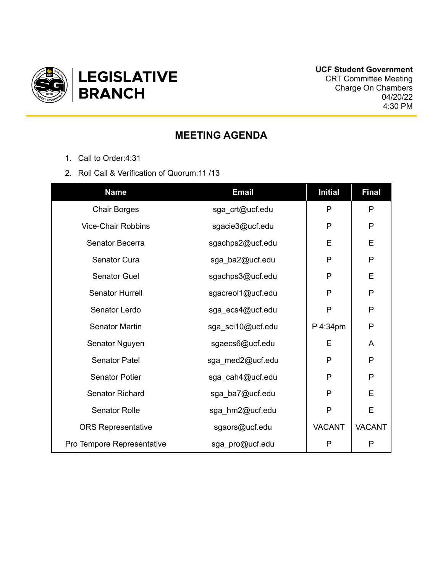

## **MEETING AGENDA**

- 1. Call to Order:4:31
- 2. Roll Call & Verification of Quorum:11 /13

| <b>Name</b>                | <b>Email</b>      | <b>Initial</b> | <b>Final</b>  |
|----------------------------|-------------------|----------------|---------------|
| <b>Chair Borges</b>        | sga_crt@ucf.edu   | P              | P             |
| <b>Vice-Chair Robbins</b>  | sgacie3@ucf.edu   | P              | P             |
| Senator Becerra            | sgachps2@ucf.edu  | E              | E             |
| Senator Cura               | sga_ba2@ucf.edu   | P              | P             |
| Senator Guel               | sgachps3@ucf.edu  | P              | E             |
| Senator Hurrell            | sgacreol1@ucf.edu | P              | P             |
| Senator Lerdo              | sga_ecs4@ucf.edu  | P              | $\mathsf{P}$  |
| <b>Senator Martin</b>      | sga_sci10@ucf.edu | P 4:34pm       | $\mathsf{P}$  |
| Senator Nguyen             | sgaecs6@ucf.edu   | E              | A             |
| Senator Patel              | sga_med2@ucf.edu  | P              | P             |
| <b>Senator Potier</b>      | sga_cah4@ucf.edu  | P              | P             |
| <b>Senator Richard</b>     | sga_ba7@ucf.edu   | P              | E             |
| <b>Senator Rolle</b>       | sga_hm2@ucf.edu   | P              | E             |
| <b>ORS Representative</b>  | sgaors@ucf.edu    | <b>VACANT</b>  | <b>VACANT</b> |
| Pro Tempore Representative | sga_pro@ucf.edu   | P              | P             |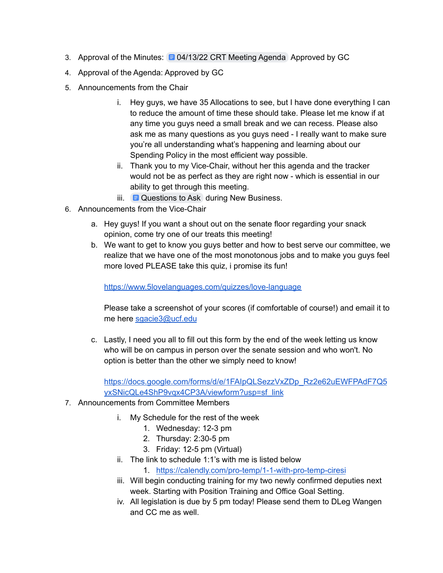- 3. Approval of the Minutes: [04/13/22](https://docs.google.com/document/d/1wgN3u_WTzOMYyAyKxoYVGXdr0DJpsKGfsPEeUV5L92Q/edit) CRT Meeting Agenda Approved by GC
- 4. Approval of the Agenda: Approved by GC
- 5. Announcements from the Chair
	- i. Hey guys, we have 35 Allocations to see, but I have done everything I can to reduce the amount of time these should take. Please let me know if at any time you guys need a small break and we can recess. Please also ask me as many questions as you guys need - I really want to make sure you're all understanding what's happening and learning about our Spending Policy in the most efficient way possible.
	- ii. Thank you to my Vice-Chair, without her this agenda and the tracker would not be as perfect as they are right now - which is essential in our ability to get through this meeting.
	- iii.  $\Box$  [Questions](https://docs.google.com/document/d/15tOQlh3lJKupJPOc-U_EmuGneFog2vqAjCUdlHf7VJ4/edit) to Ask during New Business.
- 6. Announcements from the Vice-Chair
	- a. Hey guys! If you want a shout out on the senate floor regarding your snack opinion, come try one of our treats this meeting!
	- b. We want to get to know you guys better and how to best serve our committee, we realize that we have one of the most monotonous jobs and to make you guys feel more loved PLEASE take this quiz, i promise its fun!

<https://www.5lovelanguages.com/quizzes/love-language>

Please take a screenshot of your scores (if comfortable of course!) and email it to me here [sgacie3@ucf.edu](mailto:sgacie3@ucf.edu)

c. Lastly, I need you all to fill out this form by the end of the week letting us know who will be on campus in person over the senate session and who won't. No option is better than the other we simply need to know!

[https://docs.google.com/forms/d/e/1FAIpQLSezzVxZDp\\_Rz2e62uEWFPAdF7Q5](https://docs.google.com/forms/d/e/1FAIpQLSezzVxZDp_Rz2e62uEWFPAdF7Q5yxSNicQLe4ShP9vqx4CP3A/viewform?usp=sf_link) [yxSNicQLe4ShP9vqx4CP3A/viewform?usp=sf\\_link](https://docs.google.com/forms/d/e/1FAIpQLSezzVxZDp_Rz2e62uEWFPAdF7Q5yxSNicQLe4ShP9vqx4CP3A/viewform?usp=sf_link)

- 7. Announcements from Committee Members
	- i. My Schedule for the rest of the week
		- 1. Wednesday: 12-3 pm
		- 2. Thursday: 2:30-5 pm
		- 3. Friday: 12-5 pm (Virtual)
	- ii. The link to schedule 1:1's with me is listed below
		- 1. <https://calendly.com/pro-temp/1-1-with-pro-temp-ciresi>
	- iii. Will begin conducting training for my two newly confirmed deputies next week. Starting with Position Training and Office Goal Setting.
	- iv. All legislation is due by 5 pm today! Please send them to DLeg Wangen and CC me as well.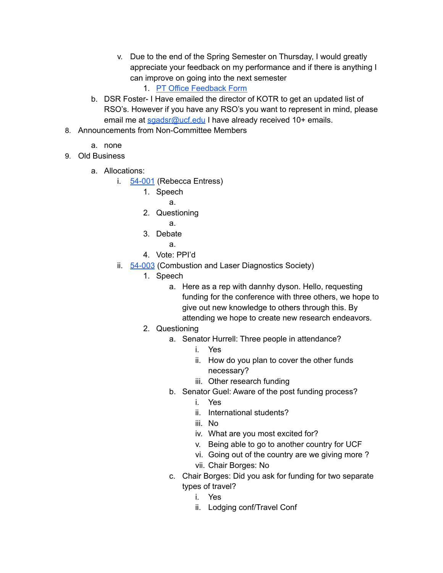- v. Due to the end of the Spring Semester on Thursday, I would greatly appreciate your feedback on my performance and if there is anything I can improve on going into the next semester
	- 1. PT Office [Feedback](https://forms.gle/6SS7GzVA1Y6mU6eYA) Form
- b. DSR Foster- I Have emailed the director of KOTR to get an updated list of RSO's. However if you have any RSO's you want to represent in mind, please email me at [sgadsr@ucf.edu](mailto:sgadsr@ucf.edu) I have already received 10+ emails.
- 8. Announcements from Non-Committee Members
	- a. none
- 9. Old Business
	- a. Allocations:
		- i. [54-001](https://drive.google.com/drive/folders/1WnH26XWSLp_9AXCWUb3uYKHtD0WBhq5r) (Rebecca Entress)
			- 1. Speech
				- a.
			- 2. Questioning
				- a.
			- 3. Debate
				- a.
			- 4. Vote: PPI'd
		- ii. [54-003](https://drive.google.com/drive/folders/1-a9KM3haroqIcvJfe3dNOeAVp8ddvEDg) (Combustion and Laser Diagnostics Society)
			- 1. Speech
				- a. Here as a rep with dannhy dyson. Hello, requesting funding for the conference with three others, we hope to give out new knowledge to others through this. By attending we hope to create new research endeavors.
			- 2. Questioning
				- a. Senator Hurrell: Three people in attendance?
					- i. Yes
					- ii. How do you plan to cover the other funds necessary?
					- iii. Other research funding
				- b. Senator Guel: Aware of the post funding process?
					- i. Yes
					- ii. International students?
					- iii. No
					- iv. What are you most excited for?
					- v. Being able to go to another country for UCF
					- vi. Going out of the country are we giving more ?
					- vii. Chair Borges: No
				- c. Chair Borges: Did you ask for funding for two separate types of travel?
					- i. Yes
					- ii. Lodging conf/Travel Conf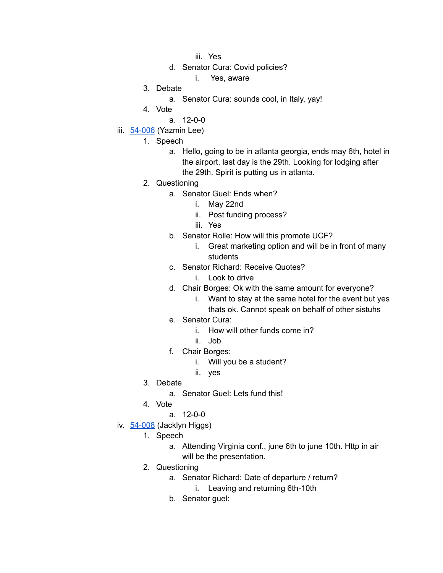- iii. Yes
- d. Senator Cura: Covid policies?
	- i. Yes, aware
- 3. Debate
	- a. Senator Cura: sounds cool, in Italy, yay!
- 4. Vote
	- a. 12-0-0
- iii. [54-006](https://drive.google.com/drive/folders/1DUIqcmr1Y--wrVm8WWtanwEJi_tiWjjO) (Yazmin Lee)
	- 1. Speech
		- a. Hello, going to be in atlanta georgia, ends may 6th, hotel in the airport, last day is the 29th. Looking for lodging after the 29th. Spirit is putting us in atlanta.
	- 2. Questioning
		- a. Senator Guel: Ends when?
			- i. May 22nd
			- ii. Post funding process?
			- iii. Yes
		- b. Senator Rolle: How will this promote UCF?
			- i. Great marketing option and will be in front of many students
		- c. Senator Richard: Receive Quotes?
			- i. Look to drive
		- d. Chair Borges: Ok with the same amount for everyone?
			- i. Want to stay at the same hotel for the event but yes thats ok. Cannot speak on behalf of other sistuhs
		- e. Senator Cura:
			- i. How will other funds come in?
			- ii. Job
		- f. Chair Borges:
			- i. Will you be a student?
			- ii. yes
	- 3. Debate
		- a. Senator Guel: Lets fund this!
	- 4. Vote
		- a. 12-0-0
- iv. [54-008](https://drive.google.com/drive/folders/1p_9nAv1E1fP9bdtW2DLN-A16ooT2vjvg) (Jacklyn Higgs)
	- 1. Speech
		- a. Attending Virginia conf., june 6th to june 10th. Http in air will be the presentation.
	- 2. Questioning
		- a. Senator Richard: Date of departure / return? i. Leaving and returning 6th-10th
		- b. Senator guel: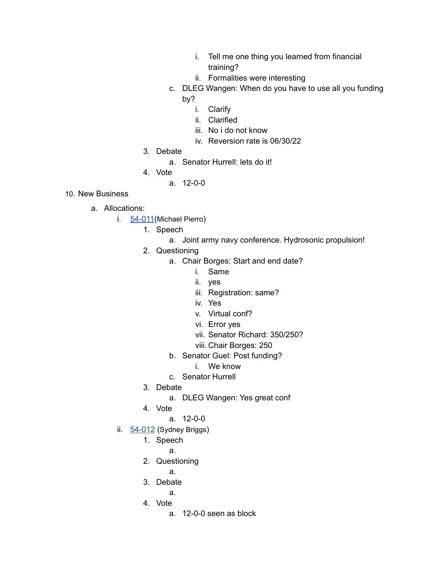- i. Tell me one thing you learned from financial training?
- ii. Formalities were interesting
- c. DLEG Wangen: When do you have to use all you funding by?
	- i. Clarify
	- ii. Clarified
	- iii. No i do not know
	- iv. Reversion rate is 06/30/22
- 3. Debate
	- a. Senator Hurrell: lets do it!
- 4. Vote
	- a. 12-0-0
- 10. New Business
	- a. Allocations:
		- i. [54-011](https://drive.google.com/drive/folders/1B_gEClyhLiY2_74RmG4uWDuTfiLZR5oi) (Michael Pierro)
			- 1. Speech
				- a. Joint army navy conference. Hydrosonic propulsion!
			- 2. Questioning
				- a. Chair Borges: Start and end date?
					- i. Same
					- ii. yes
					- iii. Registration: same?
					- iv. Yes
					- v. Virtual conf?
					- vi. Error yes
					- vii. Senator Richard: 350/250?
					- viii. Chair Borges: 250
				- b. Senator Guel: Post funding?
					- i. We know
				- c. Senator Hurrell
			- 3. Debate
				- a. DLEG Wangen: Yes great conf
			- 4. Vote
				- a. 12-0-0
		- ii. [54-012](https://drive.google.com/drive/folders/1lBNsqUwX5z4E8ON_j5jh5gyx5Z5BtlFH) (Sydney Briggs)
			- 1. Speech
				- a.
			- 2. Questioning
				- a.
			- 3. Debate
				- a.
			- 4. Vote
				- a. 12-0-0 seen as block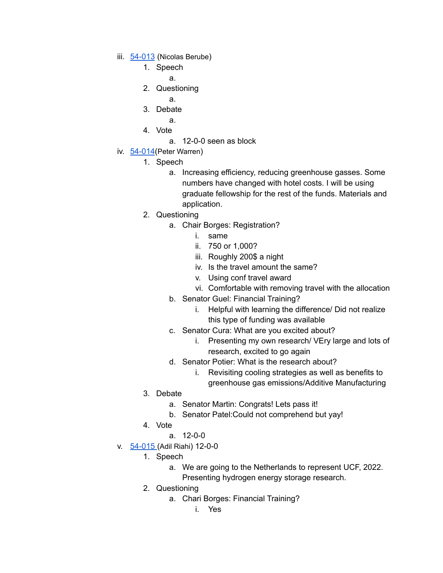- iii. [54-013](https://drive.google.com/drive/folders/1uySn4qq8ovC5Y7AXBTv70Y3kFXywFgE3) (Nicolas Berube)
	- 1. Speech
		- a.
	- 2. Questioning
		- a.
	- 3. Debate
		- a.
	- 4. Vote
		- a. 12-0-0 seen as block
- iv. [54-014](https://drive.google.com/drive/folders/1MRTSsqXZ45PV5iqfUAeEpZXoERr3Lvl8) (Peter Warren)
	- 1. Speech
		- a. Increasing efficiency, reducing greenhouse gasses. Some numbers have changed with hotel costs. I will be using graduate fellowship for the rest of the funds. Materials and application.
	- 2. Questioning
		- a. Chair Borges: Registration?
			- i. same
			- ii. 750 or 1,000?
			- iii. Roughly 200\$ a night
			- iv. Is the travel amount the same?
			- v. Using conf travel award
			- vi. Comfortable with removing travel with the allocation
		- b. Senator Guel: Financial Training?
			- i. Helpful with learning the difference/ Did not realize this type of funding was available
		- c. Senator Cura: What are you excited about?
			- i. Presenting my own research/ VEry large and lots of research, excited to go again
		- d. Senator Potier: What is the research about?
			- i. Revisiting cooling strategies as well as benefits to greenhouse gas emissions/Additive Manufacturing
	- 3. Debate
		- a. Senator Martin: Congrats! Lets pass it!
		- b. Senator Patel:Could not comprehend but yay!
	- 4. Vote
		- a. 12-0-0
- v. [54-015](https://drive.google.com/drive/folders/19ayrx-sAsurnDvakwJ9fIPHBKrXD6lhh) (Adil Riahi) 12-0-0
	- 1. Speech
		- a. We are going to the Netherlands to represent UCF, 2022.
			- Presenting hydrogen energy storage research.
	- 2. Questioning
		- a. Chari Borges: Financial Training?
			- i. Yes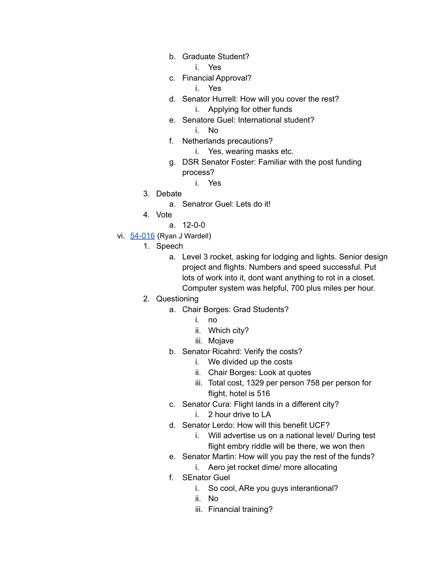- b. Graduate Student?
	- i. Yes
- c. Financial Approval?
	- i. Yes
- d. Senator Hurrell: How will you cover the rest? i. Applying for other funds
- e. Senatore Guel: International student? i. No
	-
- f. Netherlands precautions?
	- i. Yes, wearing masks etc.
- g. DSR Senator Foster: Familiar with the post funding process?
	- i. Yes
- 3. Debate
	- a. Senatror Guel: Lets do it!
- 4. Vote
	- a. 12-0-0
- vi. [54-016](https://drive.google.com/drive/folders/1L6EKx2lBUQ5MLVp0zHELOxdHzsyBbP5-) (Ryan J Wardell)
	- 1. Speech
		- a. Level 3 rocket, asking for lodging and lights. Senior design project and flights. Numbers and speed successful. Put lots of work into it, dont want anything to rot in a closet. Computer system was helpful, 700 plus miles per hour.
	- 2. Questioning
		- a. Chair Borges: Grad Students?
			- i. no
			- ii. Which city?
			- iii. Mojave
		- b. Senator Ricahrd: Verify the costs?
			- i. We divided up the costs
			- ii. Chair Borges: Look at quotes
			- iii. Total cost, 1329 per person 758 per person for flight, hotel is 516
		- c. Senator Cura: Flight lands in a different city?
			- i. 2 hour drive to LA
		- d. Senator Lerdo: How will this benefit UCF?
			- i. Will advertise us on a national level/ During test flight embry riddle will be there, we won then
		- e. Senator Martin: How will you pay the rest of the funds?
			- i. Aero jet rocket dime/ more allocating
		- f. SEnator Guel
			- i. So cool, ARe you guys interantional?
			- ii. No
			- iii. Financial training?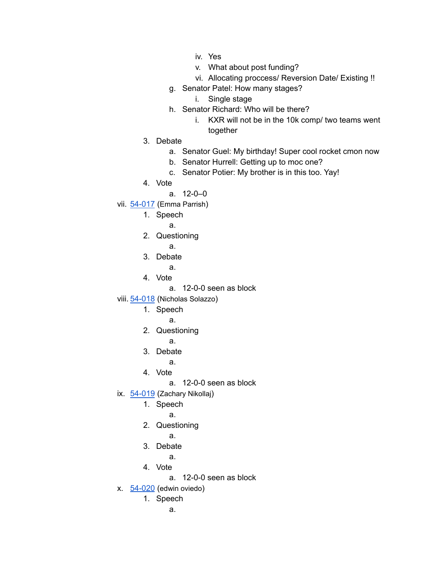- iv. Yes
- v. What about post funding?
- vi. Allocating proccess/ Reversion Date/ Existing !!
- g. Senator Patel: How many stages?
	- i. Single stage
- h. Senator Richard: Who will be there?
	- i. KXR will not be in the 10k comp/ two teams went together
- 3. Debate
	- a. Senator Guel: My birthday! Super cool rocket cmon now
	- b. Senator Hurrell: Getting up to moc one?
	- c. Senator Potier: My brother is in this too. Yay!
- 4. Vote
	- a. 12-0–0
- vii. [54-017](https://drive.google.com/drive/folders/1tZDufDRwZ5RRiE80bVQUcrGEWFaLCmKH) (Emma Parrish)
	- 1. Speech
		- a.
	- 2. Questioning
		- a.
	- 3. Debate
		- a.
	- 4. Vote
		- a. 12-0-0 seen as block
- viii. [54-018](https://drive.google.com/drive/folders/1YG64BABS1EpWPRoEKvekDGB9J3jdVgLY) (Nicholas Solazzo)
	- 1. Speech
		- a.
	- 2. Questioning
		- a.
	- 3. Debate
		- a.
	- 4. Vote
		- a. 12-0-0 seen as block
- ix. [54-019](https://drive.google.com/drive/folders/1AYdYZLWf2pl1f6_Hmlp5GSon9a_BS41F) (Zachary Nikollaj)
	- 1. Speech
		- a.
	- 2. Questioning
		- a.
	- 3. Debate
		- a.
	- 4. Vote
		- a. 12-0-0 seen as block
- x.  $54-020$  (edwin oviedo)
	- 1. Speech
		- a.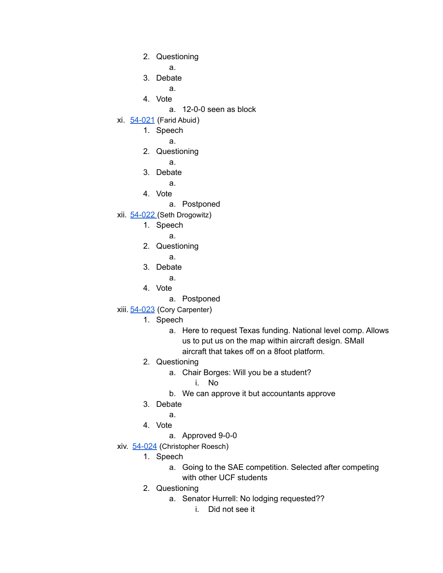2. Questioning

a.

- 3. Debate
	- a.
- 4. Vote
	- a. 12-0-0 seen as block
- xi. [54-021](https://drive.google.com/drive/folders/1-MUZh4roQof32F-zuK7HqqWin0ttj7Cs) (Farid Abuid)
	- 1. Speech
		- a.
	- 2. Questioning
		- a.
	- 3. Debate
		- a.
	- 4. Vote
		- a. Postponed
- xii. [54-022](https://drive.google.com/drive/folders/1Tspjaq-fUVANgwJ6I4nXVkAYPRS9BMWR) (Seth Drogowitz)
	- 1. Speech
		- a.
	- 2. Questioning
		- a.
	- 3. Debate
		- a.
	- 4. Vote
		- a. Postponed
- xiii. [54-023](https://drive.google.com/drive/folders/1ZWff5ZT8FSpLJkfsAOsA2DNL7dzk1j-D) (Cory Carpenter)
	- 1. Speech
		- a. Here to request Texas funding. National level comp. Allows us to put us on the map within aircraft design. SMall aircraft that takes off on a 8foot platform.
	- 2. Questioning
		- a. Chair Borges: Will you be a student?
			- i. No
		- b. We can approve it but accountants approve
	- 3. Debate
	- a.
	- 4. Vote
		- a. Approved 9-0-0
- xiv. [54-024](https://drive.google.com/drive/folders/1V61mXCU-_-OF5bQKdCbp8RlpSTLtNdYG) (Christopher Roesch)
	- 1. Speech
		- a. Going to the SAE competition. Selected after competing with other UCF students
	- 2. Questioning
		- a. Senator Hurrell: No lodging requested??
			- i. Did not see it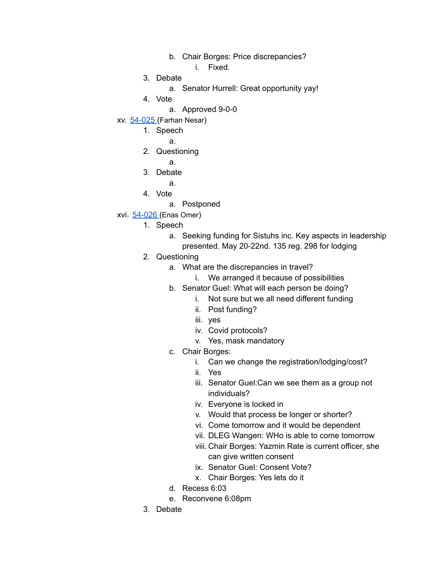- b. Chair Borges: Price discrepancies?
	- i. Fixed.
- 3. Debate
	- a. Senator Hurrell: Great opportunity yay!
- 4. Vote
	- a. Approved 9-0-0
- xv. [54-025](https://drive.google.com/drive/folders/1wePG1SrHGaJkJXwATrACAVsgfSPG20Ws) (Farhan Nesar)
	- 1. Speech
		- a.
	- 2. Questioning
		- a.
	- 3. Debate
		- a.
	- 4. Vote
		- a. Postponed
- xvi. [54-026](https://drive.google.com/drive/folders/18QoFIY45Cni1n1nXS_hQx0BDZi0rJZrR) (Enas Omer)
	- 1. Speech
		- a. Seeking funding for Sistuhs inc. Key aspects in leadership presented. May 20-22nd. 135 reg. 298 for lodging
	- 2. Questioning
		- a. What are the discrepancies in travel?
			- i. We arranged it because of possibilities
		- b. Senator Guel: What will each person be doing?
			- i. Not sure but we all need different funding
			- ii. Post funding?
			- iii. yes
			- iv. Covid protocols?
			- v. Yes, mask mandatory
		- c. Chair Borges:
			- i. Can we change the registration/lodging/cost?
			- ii. Yes
			- iii. Senator Guel:Can we see them as a group not individuals?
			- iv. Everyone is locked in
			- v. Would that process be longer or shorter?
			- vi. Come tomorrow and it would be dependent
			- vii. DLEG Wangen: WHo is able to come tomorrow
			- viii. Chair Borges: Yazmin Rate is current officer, she can give written consent
			- ix. Senator Guel: Consent Vote?
			- x. Chair Borges: Yes lets do it
		- d. Recess 6:03
		- e. Reconvene 6:08pm
	- 3. Debate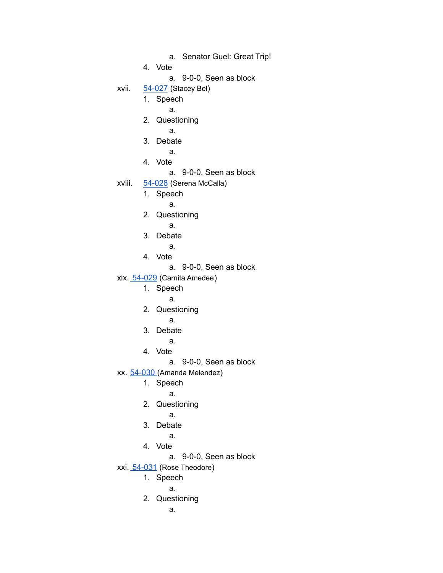- a. Senator Guel: Great Trip!
- 4. Vote
	- a. 9-0-0, Seen as block

xvii. [54-027](https://drive.google.com/drive/folders/1wXX3qz-D9xseDyQPyvPZvvLEyEBfAFKY) (Stacey Bel)

- 1. Speech
	- a.
	- 2. Questioning
		- a.
	- 3. Debate
		- a.
	- 4. Vote
		- a. 9-0-0, Seen as block
- xviii. [54-028](https://drive.google.com/drive/folders/1KZuUG8GN2xmQVCiB_O-COu4L0R9JbL0u) (Serena McCalla)
	- 1. Speech
		- a.
		- 2. Questioning
			- a.
		- 3. Debate
			- a.
		- 4. Vote
			- a. 9-0-0, Seen as block
- xix. [54-029](https://drive.google.com/drive/folders/1M3SxisrnSsQUrrW7Nw4evlevZLKvaj8t) (Carnita Amedee)
	- 1. Speech
		- a.
	- 2. Questioning
		- a.
	- 3. Debate
		- a.
	- 4. Vote
		- a. 9-0-0, Seen as block
- xx. [54-030](https://drive.google.com/drive/folders/1j1iKno3zeNuVHJECEuF7JkmWgfFEczBr) (Amanda Melendez)
	- 1. Speech
		- a.
	- 2. Questioning
		- a.
	- 3. Debate
		- a.
	- 4. Vote
		- a. 9-0-0, Seen as block
- xxi. [54-031](https://drive.google.com/drive/folders/13pPNJk1Tt4jgi-eq2avrZqe8rIGe6GuN) (Rose Theodore)
	- 1. Speech
		- a.
	- 2. Questioning
		- a.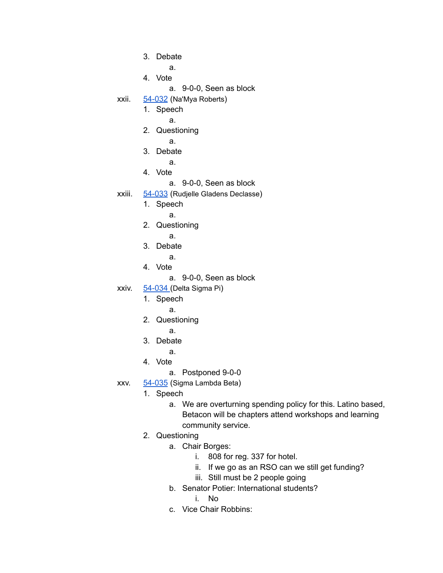- 3. Debate
	- a.
- 4. Vote
	- a. 9-0-0, Seen as block
- xxii. [54-032](https://drive.google.com/drive/folders/1ipIVXIkAGRykLmhPMpSglQx_OE_VS_jT) (Na'Mya Roberts)
	- 1. Speech
		- a.
	- 2. Questioning
		- a.
	- 3. Debate
		- a.
	- 4. Vote
		- a. 9-0-0, Seen as block
- xxiii. [54-033](https://drive.google.com/drive/folders/1MkW-nd2rymVlMW6z-7IHGzzPYPfRsJjY) (Rudjelle Gladens Declasse)
	- 1. Speech
		- a.
	- 2. Questioning
		- a.
	- 3. Debate
		- a.
	- 4. Vote
		- a. 9-0-0, Seen as block
- xxiv. [54-034](https://drive.google.com/drive/folders/1ab3RTCJUkUcKm3ZmYPbRkkDZi2ASM3Iv) (Delta Sigma Pi)
	- 1. Speech
		- a.
	- 2. Questioning
		- a.
	- 3. Debate
		- a.
	- 4. Vote
		- a. Postponed 9-0-0
- xxv. [54-035](https://drive.google.com/drive/folders/1czcW5_AIuC3VwtNqd0y52j4Z3-ZeV0Ku) (Sigma Lambda Beta)
	- 1. Speech
		- a. We are overturning spending policy for this. Latino based, Betacon will be chapters attend workshops and learning community service.
	- 2. Questioning
		- a. Chair Borges:
			- i. 808 for reg. 337 for hotel.
			- ii. If we go as an RSO can we still get funding?
			- iii. Still must be 2 people going
		- b. Senator Potier: International students?
			- i. No
		- c. Vice Chair Robbins: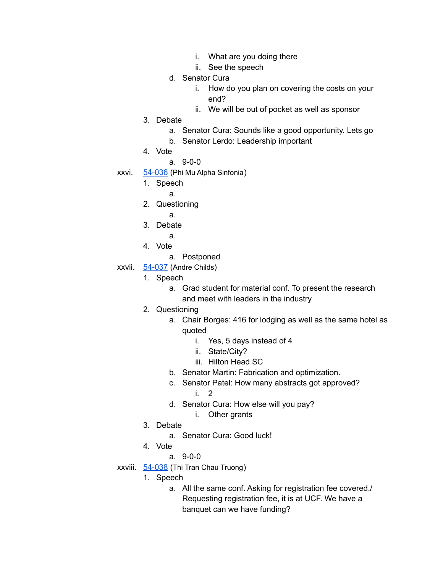- i. What are you doing there
- ii. See the speech
- d. Senator Cura
	- i. How do you plan on covering the costs on your end?
	- ii. We will be out of pocket as well as sponsor
- 3. Debate
	- a. Senator Cura: Sounds like a good opportunity. Lets go
	- b. Senator Lerdo: Leadership important
- 4. Vote
	- a. 9-0-0
- xxvi. [54-036](https://drive.google.com/drive/folders/1r5QR3x-3c4sGQ_jcEHe_FNLtOsk6vnAc) (Phi Mu Alpha Sinfonia)
	- 1. Speech
		- a.
	- 2. Questioning
		- a.
	- 3. Debate
		- a.
	- 4. Vote
		- a. Postponed
- xxvii. [54-037](https://drive.google.com/drive/folders/1fcIVVzY7ScChAxcnGrMbPX4NCbDH75LW) (Andre Childs)
	- 1. Speech
		- a. Grad student for material conf. To present the research and meet with leaders in the industry
	- 2. Questioning
		- a. Chair Borges: 416 for lodging as well as the same hotel as quoted
			- i. Yes, 5 days instead of 4
			- ii. State/City?
			- iii. Hilton Head SC
		- b. Senator Martin: Fabrication and optimization.
		- c. Senator Patel: How many abstracts got approved? i. 2
		- d. Senator Cura: How else will you pay?
			- i. Other grants
	- 3. Debate
		- a. Senator Cura: Good luck!
	- 4. Vote
		- a. 9-0-0
- xxviii. [54-038](https://drive.google.com/drive/folders/1CzOKpxr-lA9tYwySqHeFtX3h3JBNM0KQ) (Thi Tran Chau Truong)
	- 1. Speech
		- a. All the same conf. Asking for registration fee covered./ Requesting registration fee, it is at UCF. We have a banquet can we have funding?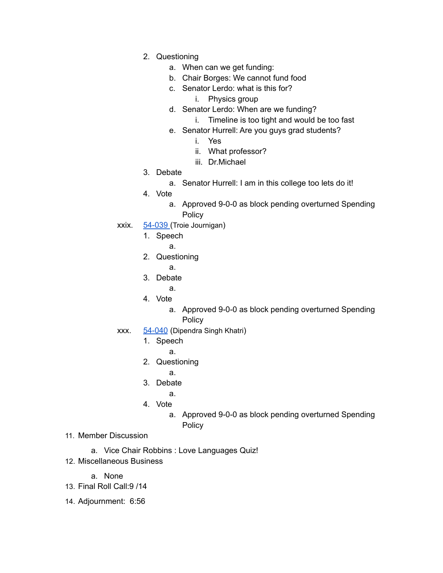- 2. Questioning
	- a. When can we get funding:
	- b. Chair Borges: We cannot fund food
	- c. Senator Lerdo: what is this for?
		- i. Physics group
	- d. Senator Lerdo: When are we funding?
		- i. Timeline is too tight and would be too fast
	- e. Senator Hurrell: Are you guys grad students?
		- i. Yes
		- ii. What professor?
		- iii. Dr.Michael
- 3. Debate
	- a. Senator Hurrell: I am in this college too lets do it!
- 4. Vote
	- a. Approved 9-0-0 as block pending overturned Spending Policy
- xxix. [54-039](https://drive.google.com/drive/folders/1AkqHDilePUH0oF7BLHjLiPOfFCygqyeT) (Troie Journigan)
	- 1. Speech
		- a.
	- 2. Questioning
		- a.
	- 3. Debate
		- a.
	- 4. Vote
		- a. Approved 9-0-0 as block pending overturned Spending **Policy**
- xxx. [54-040](https://drive.google.com/drive/folders/1eftX10pp_Lvjoz6lePBQ95lNNb4wdLku) (Dipendra Singh Khatri)
	- 1. Speech
		- a.
		- 2. Questioning
			- a.
		- 3. Debate
			- a.
		- 4. Vote
			- a. Approved 9-0-0 as block pending overturned Spending Policy
- 11. Member Discussion
	- a. Vice Chair Robbins : Love Languages Quiz!
- 12. Miscellaneous Business
	- a. None
- 13. Final Roll Call:9 /14
- 14. Adjournment: 6:56